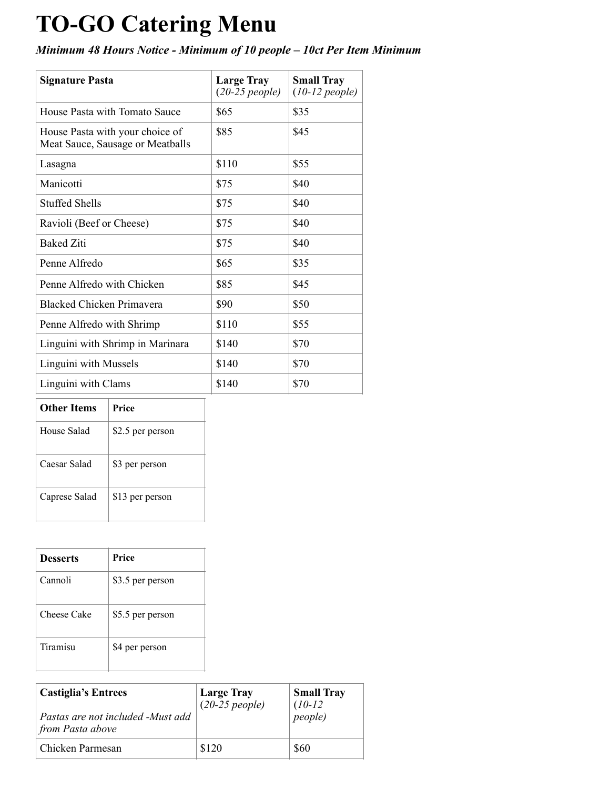## **TO-GO Catering Menu**

*Minimum 48 Hours Notice - Minimum of 10 people – 10ct Per Item Minimum* 

| <b>Signature Pasta</b>                                              | <b>Large Tray</b><br>$(20-25$ people) | <b>Small Tray</b><br>$(10-12$ people) |
|---------------------------------------------------------------------|---------------------------------------|---------------------------------------|
| House Pasta with Tomato Sauce                                       | \$65                                  | \$35                                  |
| House Pasta with your choice of<br>Meat Sauce, Sausage or Meatballs | \$85                                  | \$45                                  |
| Lasagna                                                             | \$110                                 | \$55                                  |
| Manicotti                                                           | \$75                                  | \$40                                  |
| <b>Stuffed Shells</b>                                               | \$75                                  | \$40                                  |
| Ravioli (Beef or Cheese)                                            | \$75                                  | \$40                                  |
| <b>Baked Ziti</b>                                                   | \$75                                  | \$40                                  |
| Penne Alfredo                                                       | \$65                                  | \$35                                  |
| Penne Alfredo with Chicken                                          | \$85                                  | \$45                                  |
| <b>Blacked Chicken Primavera</b>                                    | \$90                                  | \$50                                  |
| Penne Alfredo with Shrimp                                           | \$110                                 | \$55                                  |
| Linguini with Shrimp in Marinara                                    | \$140                                 | \$70                                  |
| Linguini with Mussels                                               | \$140                                 | \$70                                  |
| Linguini with Clams                                                 | \$140                                 | \$70                                  |

## **Other Items** Price

| House Salad   | \$2.5 per person |
|---------------|------------------|
| Caesar Salad  | \$3 per person   |
| Caprese Salad | \$13 per person  |

| <b>Desserts</b> | Price            |
|-----------------|------------------|
| Cannoli         | \$3.5 per person |
| Cheese Cake     | \$5.5 per person |
| Tiramisu        | \$4 per person   |

| <b>Castiglia's Entrees</b><br>Pastas are not included -Must add<br>from Pasta above | <b>Large Tray</b><br>$(20-25$ people) | <b>Small Tray</b><br>$(10-12)$<br><i>people</i> ) |
|-------------------------------------------------------------------------------------|---------------------------------------|---------------------------------------------------|
| Chicken Parmesan                                                                    | \$120                                 | \$60                                              |